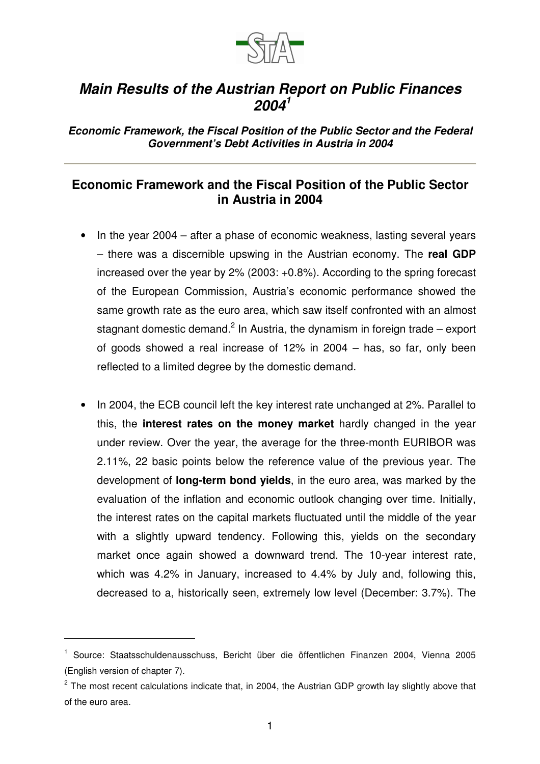

## *Main Results of the Austrian Report on Public Finances 2004 1*

*Economic Framework, the Fiscal Position of the Public Sector and the Federal Government's Debt Activities in Austria in 2004*

## **Economic Framework and the Fiscal Position of the Public Sector in Austria in 2004**

- In the year 2004 after a phase of economic weakness, lasting several years – there was a discernible upswing in the Austrian economy. The **real GDP** increased over the year by 2% (2003: +0.8%). According to the spring forecast of the European Commission, Austria's economic performance showed the same growth rate as the euro area, which saw itself confronted with an almost stagnant domestic demand.<sup>2</sup> In Austria, the dynamism in foreign trade – export of goods showed a real increase of 12% in 2004 – has, so far, only been reflected to a limited degree by the domestic demand.
- In 2004, the ECB council left the key interest rate unchanged at 2%. Parallel to this, the **interest rates on the money market** hardly changed in the year under review. Over the year, the average for the three-month EURIBOR was 2.11%, 22 basic points below the reference value of the previous year. The development of **long-term bond yields**, in the euro area, was marked by the evaluation of the inflation and economic outlook changing over time. Initially, the interest rates on the capital markets fluctuated until the middle of the year with a slightly upward tendency. Following this, yields on the secondary market once again showed a downward trend. The 10-year interest rate, which was 4.2% in January, increased to 4.4% by July and, following this, decreased to a, historically seen, extremely low level (December: 3.7%). The

<sup>&</sup>lt;sup>1</sup> Source: Staatsschuldenausschuss, Bericht über die öffentlichen Finanzen 2004, Vienna 2005 (English version of chapter 7).

 $^{2}$  The most recent calculations indicate that, in 2004, the Austrian GDP growth lay slightly above that of the euro area.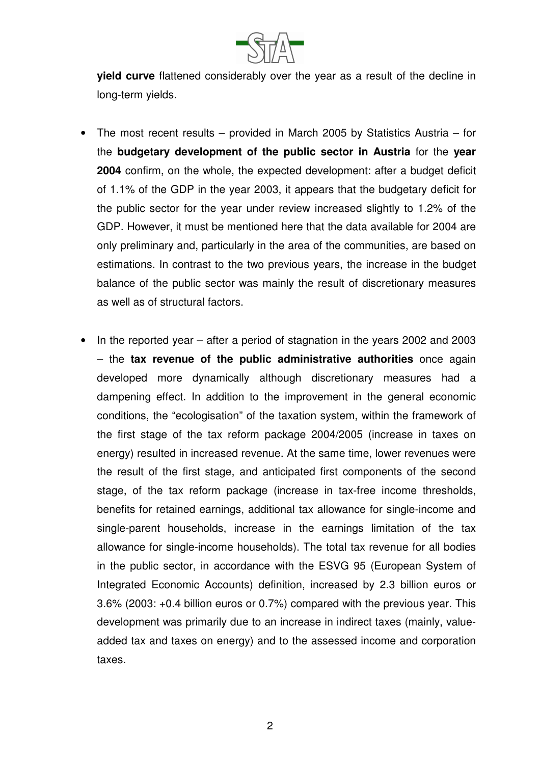

**yield curve** flattened considerably over the year as a result of the decline in long-term yields.

- The most recent results provided in March 2005 by Statistics Austria for the **budgetary development of the public sector in Austria** for the **year 2004** confirm, on the whole, the expected development: after a budget deficit of 1.1% of the GDP in the year 2003, it appears that the budgetary deficit for the public sector for the year under review increased slightly to 1.2% of the GDP. However, it must be mentioned here that the data available for 2004 are only preliminary and, particularly in the area of the communities, are based on estimations. In contrast to the two previous years, the increase in the budget balance of the public sector was mainly the result of discretionary measures as well as of structural factors.
- In the reported year after a period of stagnation in the years 2002 and 2003 – the **tax revenue of the public administrative authorities** once again developed more dynamically although discretionary measures had a dampening effect. In addition to the improvement in the general economic conditions, the "ecologisation" of the taxation system, within the framework of the first stage of the tax reform package 2004/2005 (increase in taxes on energy) resulted in increased revenue. At the same time, lower revenues were the result of the first stage, and anticipated first components of the second stage, of the tax reform package (increase in tax-free income thresholds, benefits for retained earnings, additional tax allowance for single-income and single-parent households, increase in the earnings limitation of the tax allowance for single-income households). The total tax revenue for all bodies in the public sector, in accordance with the ESVG 95 (European System of Integrated Economic Accounts) definition, increased by 2.3 billion euros or 3.6% (2003: +0.4 billion euros or 0.7%) compared with the previous year. This development was primarily due to an increase in indirect taxes (mainly, valueadded tax and taxes on energy) and to the assessed income and corporation taxes.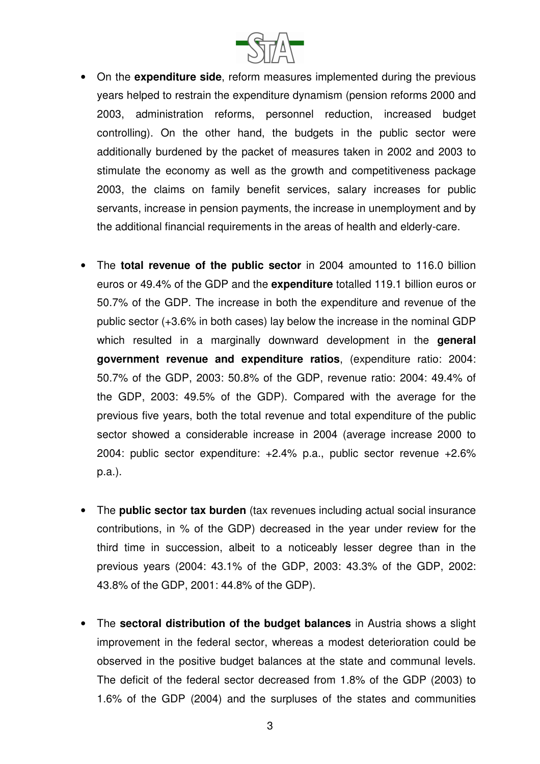

- On the **expenditure side**, reform measures implemented during the previous years helped to restrain the expenditure dynamism (pension reforms 2000 and 2003, administration reforms, personnel reduction, increased budget controlling). On the other hand, the budgets in the public sector were additionally burdened by the packet of measures taken in 2002 and 2003 to stimulate the economy as well as the growth and competitiveness package 2003, the claims on family benefit services, salary increases for public servants, increase in pension payments, the increase in unemployment and by the additional financial requirements in the areas of health and elderly-care.
- The **total revenue of the public sector** in 2004 amounted to 116.0 billion euros or 49.4% of the GDP and the **expenditure** totalled 119.1 billion euros or 50.7% of the GDP. The increase in both the expenditure and revenue of the public sector (+3.6% in both cases) lay below the increase in the nominal GDP which resulted in a marginally downward development in the **general government revenue and expenditure ratios**, (expenditure ratio: 2004: 50.7% of the GDP, 2003: 50.8% of the GDP, revenue ratio: 2004: 49.4% of the GDP, 2003: 49.5% of the GDP). Compared with the average for the previous five years, both the total revenue and total expenditure of the public sector showed a considerable increase in 2004 (average increase 2000 to 2004: public sector expenditure: +2.4% p.a., public sector revenue +2.6% p.a.).
- The **public sector tax burden** (tax revenues including actual social insurance contributions, in % of the GDP) decreased in the year under review for the third time in succession, albeit to a noticeably lesser degree than in the previous years (2004: 43.1% of the GDP, 2003: 43.3% of the GDP, 2002: 43.8% of the GDP, 2001: 44.8% of the GDP).
- The **sectoral distribution of the budget balances** in Austria shows a slight improvement in the federal sector, whereas a modest deterioration could be observed in the positive budget balances at the state and communal levels. The deficit of the federal sector decreased from 1.8% of the GDP (2003) to 1.6% of the GDP (2004) and the surpluses of the states and communities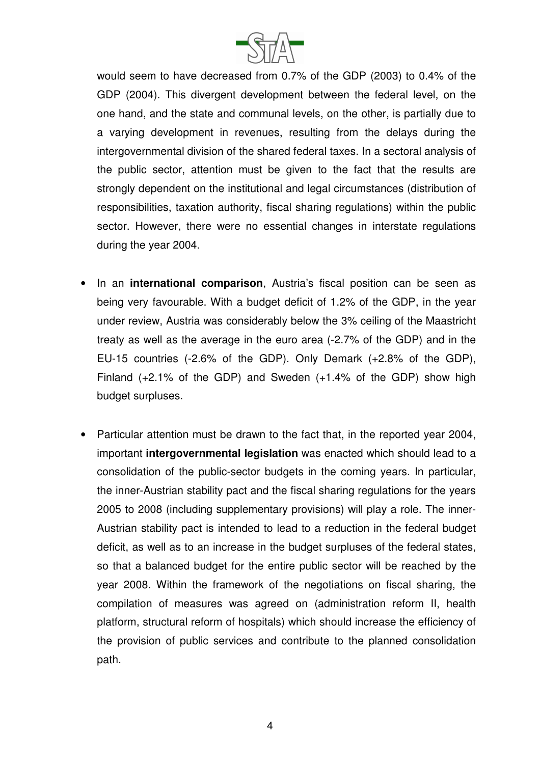

would seem to have decreased from 0.7% of the GDP (2003) to 0.4% of the GDP (2004). This divergent development between the federal level, on the one hand, and the state and communal levels, on the other, is partially due to a varying development in revenues, resulting from the delays during the intergovernmental division of the shared federal taxes. In a sectoral analysis of the public sector, attention must be given to the fact that the results are strongly dependent on the institutional and legal circumstances (distribution of responsibilities, taxation authority, fiscal sharing regulations) within the public sector. However, there were no essential changes in interstate regulations during the year 2004.

- In an **international comparison**, Austria's fiscal position can be seen as being very favourable. With a budget deficit of 1.2% of the GDP, in the year under review, Austria was considerably below the 3% ceiling of the Maastricht treaty as well as the average in the euro area (-2.7% of the GDP) and in the EU-15 countries (-2.6% of the GDP). Only Demark (+2.8% of the GDP), Finland (+2.1% of the GDP) and Sweden (+1.4% of the GDP) show high budget surpluses.
- Particular attention must be drawn to the fact that, in the reported year 2004, important **intergovernmental legislation** was enacted which should lead to a consolidation of the public-sector budgets in the coming years. In particular, the inner-Austrian stability pact and the fiscal sharing regulations for the years 2005 to 2008 (including supplementary provisions) will play a role. The inner-Austrian stability pact is intended to lead to a reduction in the federal budget deficit, as well as to an increase in the budget surpluses of the federal states, so that a balanced budget for the entire public sector will be reached by the year 2008. Within the framework of the negotiations on fiscal sharing, the compilation of measures was agreed on (administration reform II, health platform, structural reform of hospitals) which should increase the efficiency of the provision of public services and contribute to the planned consolidation path.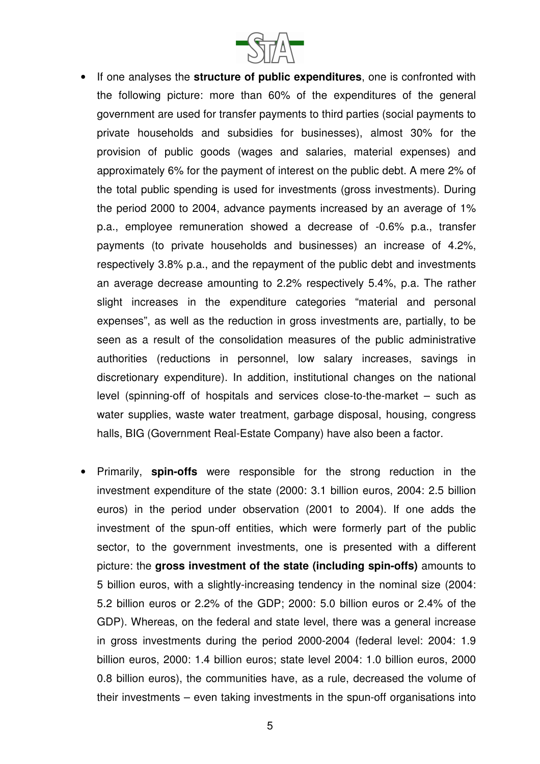

- If one analyses the **structure of public expenditures**, one is confronted with the following picture: more than 60% of the expenditures of the general government are used for transfer payments to third parties (social payments to private households and subsidies for businesses), almost 30% for the provision of public goods (wages and salaries, material expenses) and approximately 6% for the payment of interest on the public debt. A mere 2% of the total public spending is used for investments (gross investments). During the period 2000 to 2004, advance payments increased by an average of 1% p.a., employee remuneration showed a decrease of -0.6% p.a., transfer payments (to private households and businesses) an increase of 4.2%, respectively 3.8% p.a., and the repayment of the public debt and investments an average decrease amounting to 2.2% respectively 5.4%, p.a. The rather slight increases in the expenditure categories "material and personal expenses", as well as the reduction in gross investments are, partially, to be seen as a result of the consolidation measures of the public administrative authorities (reductions in personnel, low salary increases, savings in discretionary expenditure). In addition, institutional changes on the national level (spinning-off of hospitals and services close-to-the-market – such as water supplies, waste water treatment, garbage disposal, housing, congress halls, BIG (Government Real-Estate Company) have also been a factor.
- Primarily, **spin-offs** were responsible for the strong reduction in the investment expenditure of the state (2000: 3.1 billion euros, 2004: 2.5 billion euros) in the period under observation (2001 to 2004). If one adds the investment of the spun-off entities, which were formerly part of the public sector, to the government investments, one is presented with a different picture: the **gross investment of the state (including spin-offs)** amounts to 5 billion euros, with a slightly-increasing tendency in the nominal size (2004: 5.2 billion euros or 2.2% of the GDP; 2000: 5.0 billion euros or 2.4% of the GDP). Whereas, on the federal and state level, there was a general increase in gross investments during the period 2000-2004 (federal level: 2004: 1.9 billion euros, 2000: 1.4 billion euros; state level 2004: 1.0 billion euros, 2000 0.8 billion euros), the communities have, as a rule, decreased the volume of their investments – even taking investments in the spun-off organisations into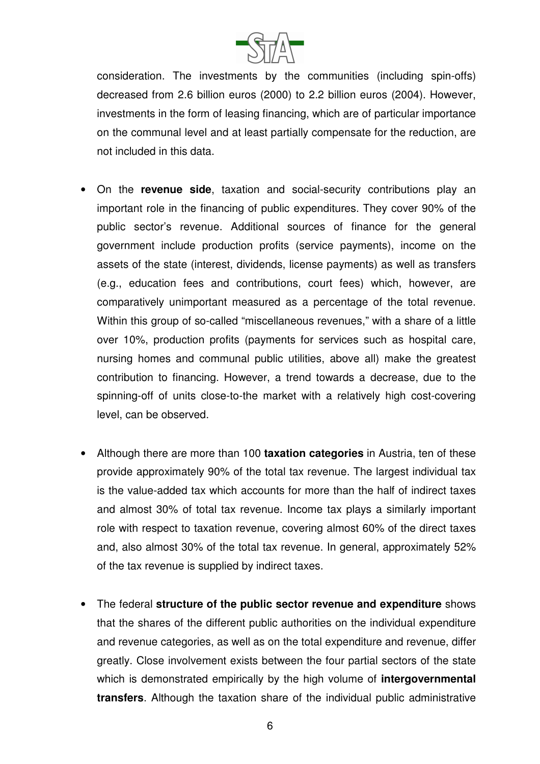

consideration. The investments by the communities (including spin-offs) decreased from 2.6 billion euros (2000) to 2.2 billion euros (2004). However, investments in the form of leasing financing, which are of particular importance on the communal level and at least partially compensate for the reduction, are not included in this data.

- On the **revenue side**, taxation and social-security contributions play an important role in the financing of public expenditures. They cover 90% of the public sector's revenue. Additional sources of finance for the general government include production profits (service payments), income on the assets of the state (interest, dividends, license payments) as well as transfers (e.g., education fees and contributions, court fees) which, however, are comparatively unimportant measured as a percentage of the total revenue. Within this group of so-called "miscellaneous revenues," with a share of a little over 10%, production profits (payments for services such as hospital care, nursing homes and communal public utilities, above all) make the greatest contribution to financing. However, a trend towards a decrease, due to the spinning-off of units close-to-the market with a relatively high cost-covering level, can be observed.
- Although there are more than 100 **taxation categories** in Austria, ten of these provide approximately 90% of the total tax revenue. The largest individual tax is the value-added tax which accounts for more than the half of indirect taxes and almost 30% of total tax revenue. Income tax plays a similarly important role with respect to taxation revenue, covering almost 60% of the direct taxes and, also almost 30% of the total tax revenue. In general, approximately 52% of the tax revenue is supplied by indirect taxes.
- The federal **structure of the public sector revenue and expenditure** shows that the shares of the different public authorities on the individual expenditure and revenue categories, as well as on the total expenditure and revenue, differ greatly. Close involvement exists between the four partial sectors of the state which is demonstrated empirically by the high volume of **intergovernmental transfers**. Although the taxation share of the individual public administrative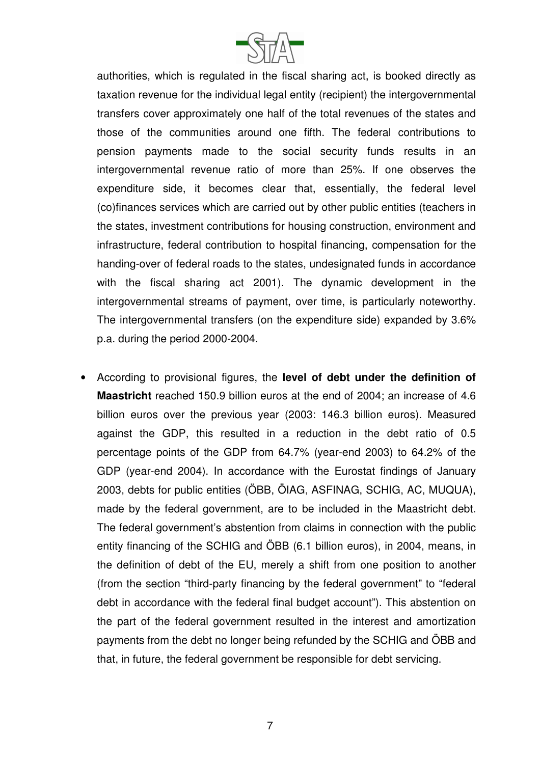

authorities, which is regulated in the fiscal sharing act, is booked directly as taxation revenue for the individual legal entity (recipient) the intergovernmental transfers cover approximately one half of the total revenues of the states and those of the communities around one fifth. The federal contributions to pension payments made to the social security funds results in an intergovernmental revenue ratio of more than 25%. If one observes the expenditure side, it becomes clear that, essentially, the federal level (co)finances services which are carried out by other public entities (teachers in the states, investment contributions for housing construction, environment and infrastructure, federal contribution to hospital financing, compensation for the handing-over of federal roads to the states, undesignated funds in accordance with the fiscal sharing act 2001). The dynamic development in the intergovernmental streams of payment, over time, is particularly noteworthy. The intergovernmental transfers (on the expenditure side) expanded by 3.6% p.a. during the period 2000-2004.

• According to provisional figures, the **level of debt under the definition of Maastricht** reached 150.9 billion euros at the end of 2004; an increase of 4.6 billion euros over the previous year (2003: 146.3 billion euros). Measured against the GDP, this resulted in a reduction in the debt ratio of 0.5 percentage points of the GDP from 64.7% (year-end 2003) to 64.2% of the GDP (year-end 2004). In accordance with the Eurostat findings of January 2003, debts for public entities (ÖBB, ÖIAG, ASFINAG, SCHIG, AC, MUQUA), made by the federal government, are to be included in the Maastricht debt. The federal government's abstention from claims in connection with the public entity financing of the SCHIG and ÖBB (6.1 billion euros), in 2004, means, in the definition of debt of the EU, merely a shift from one position to another (from the section "third-party financing by the federal government" to "federal debt in accordance with the federal final budget account"). This abstention on the part of the federal government resulted in the interest and amortization payments from the debt no longer being refunded by the SCHIG and ÖBB and that, in future, the federal government be responsible for debt servicing.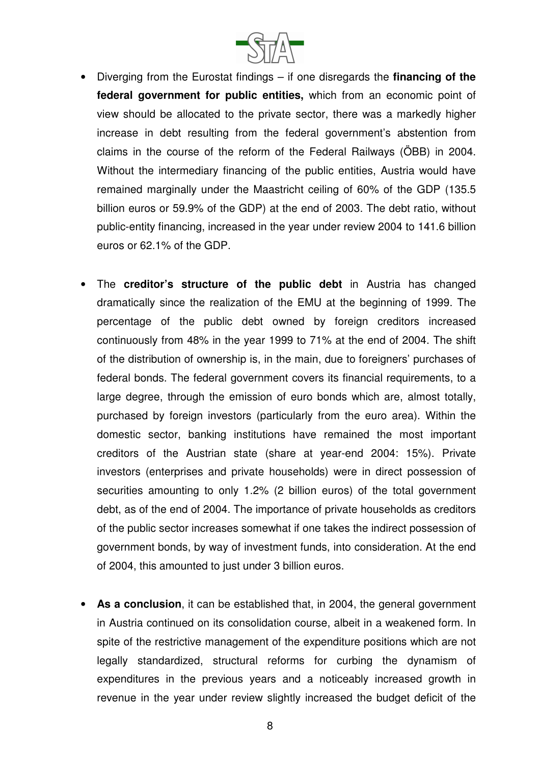

- Diverging from the Eurostat findings if one disregards the **financing of the federal government for public entities,** which from an economic point of view should be allocated to the private sector, there was a markedly higher increase in debt resulting from the federal government's abstention from claims in the course of the reform of the Federal Railways (ÖBB) in 2004. Without the intermediary financing of the public entities, Austria would have remained marginally under the Maastricht ceiling of 60% of the GDP (135.5 billion euros or 59.9% of the GDP) at the end of 2003. The debt ratio, without public-entity financing, increased in the year under review 2004 to 141.6 billion euros or 62.1% of the GDP.
- The **creditor's structure of the public debt** in Austria has changed dramatically since the realization of the EMU at the beginning of 1999. The percentage of the public debt owned by foreign creditors increased continuously from 48% in the year 1999 to 71% at the end of 2004. The shift of the distribution of ownership is, in the main, due to foreigners' purchases of federal bonds. The federal government covers its financial requirements, to a large degree, through the emission of euro bonds which are, almost totally, purchased by foreign investors (particularly from the euro area). Within the domestic sector, banking institutions have remained the most important creditors of the Austrian state (share at year-end 2004: 15%). Private investors (enterprises and private households) were in direct possession of securities amounting to only 1.2% (2 billion euros) of the total government debt, as of the end of 2004. The importance of private households as creditors of the public sector increases somewhat if one takes the indirect possession of government bonds, by way of investment funds, into consideration. At the end of 2004, this amounted to just under 3 billion euros.
- **As a conclusion**, it can be established that, in 2004, the general government in Austria continued on its consolidation course, albeit in a weakened form. In spite of the restrictive management of the expenditure positions which are not legally standardized, structural reforms for curbing the dynamism of expenditures in the previous years and a noticeably increased growth in revenue in the year under review slightly increased the budget deficit of the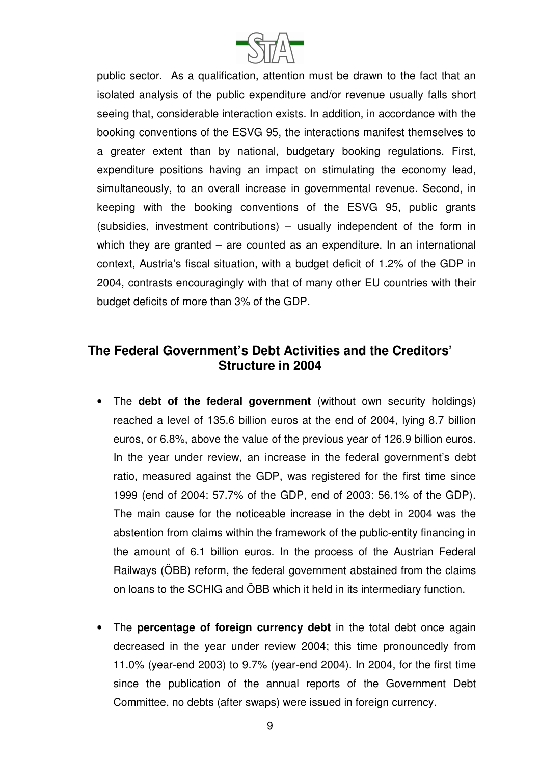

public sector. As a qualification, attention must be drawn to the fact that an isolated analysis of the public expenditure and/or revenue usually falls short seeing that, considerable interaction exists. In addition, in accordance with the booking conventions of the ESVG 95, the interactions manifest themselves to a greater extent than by national, budgetary booking regulations. First, expenditure positions having an impact on stimulating the economy lead, simultaneously, to an overall increase in governmental revenue. Second, in keeping with the booking conventions of the ESVG 95, public grants (subsidies, investment contributions) – usually independent of the form in which they are granted – are counted as an expenditure. In an international context, Austria's fiscal situation, with a budget deficit of 1.2% of the GDP in 2004, contrasts encouragingly with that of many other EU countries with their budget deficits of more than 3% of the GDP.

## **The Federal Government's Debt Activities and the Creditors' Structure in 2004**

- The **debt of the federal government** (without own security holdings) reached a level of 135.6 billion euros at the end of 2004, lying 8.7 billion euros, or 6.8%, above the value of the previous year of 126.9 billion euros. In the year under review, an increase in the federal government's debt ratio, measured against the GDP, was registered for the first time since 1999 (end of 2004: 57.7% of the GDP, end of 2003: 56.1% of the GDP). The main cause for the noticeable increase in the debt in 2004 was the abstention from claims within the framework of the public-entity financing in the amount of 6.1 billion euros. In the process of the Austrian Federal Railways (ÖBB) reform, the federal government abstained from the claims on loans to the SCHIG and ÖBB which it held in its intermediary function.
- The **percentage of foreign currency debt** in the total debt once again decreased in the year under review 2004; this time pronouncedly from 11.0% (year-end 2003) to 9.7% (year-end 2004). In 2004, for the first time since the publication of the annual reports of the Government Debt Committee, no debts (after swaps) were issued in foreign currency.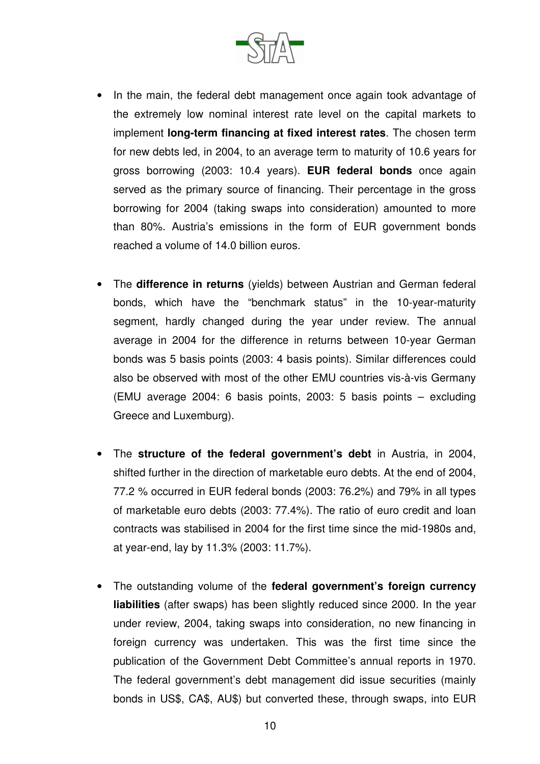

- In the main, the federal debt management once again took advantage of the extremely low nominal interest rate level on the capital markets to implement **long-term financing at fixed interest rates**. The chosen term for new debts led, in 2004, to an average term to maturity of 10.6 years for gross borrowing (2003: 10.4 years). **EUR federal bonds** once again served as the primary source of financing. Their percentage in the gross borrowing for 2004 (taking swaps into consideration) amounted to more than 80%. Austria's emissions in the form of EUR government bonds reached a volume of 14.0 billion euros.
- The **difference in returns** (yields) between Austrian and German federal bonds, which have the "benchmark status" in the 10-year-maturity segment, hardly changed during the year under review. The annual average in 2004 for the difference in returns between 10-year German bonds was 5 basis points (2003: 4 basis points). Similar differences could also be observed with most of the other EMU countries vis-à-vis Germany (EMU average 2004: 6 basis points, 2003: 5 basis points – excluding Greece and Luxemburg).
- The **structure of the federal government's debt** in Austria, in 2004, shifted further in the direction of marketable euro debts. At the end of 2004, 77.2 % occurred in EUR federal bonds (2003: 76.2%) and 79% in all types of marketable euro debts (2003: 77.4%). The ratio of euro credit and loan contracts was stabilised in 2004 for the first time since the mid-1980s and, at year-end, lay by 11.3% (2003: 11.7%).
- The outstanding volume of the **federal government's foreign currency liabilities** (after swaps) has been slightly reduced since 2000. In the year under review, 2004, taking swaps into consideration, no new financing in foreign currency was undertaken. This was the first time since the publication of the Government Debt Committee's annual reports in 1970. The federal government's debt management did issue securities (mainly bonds in US\$, CA\$, AU\$) but converted these, through swaps, into EUR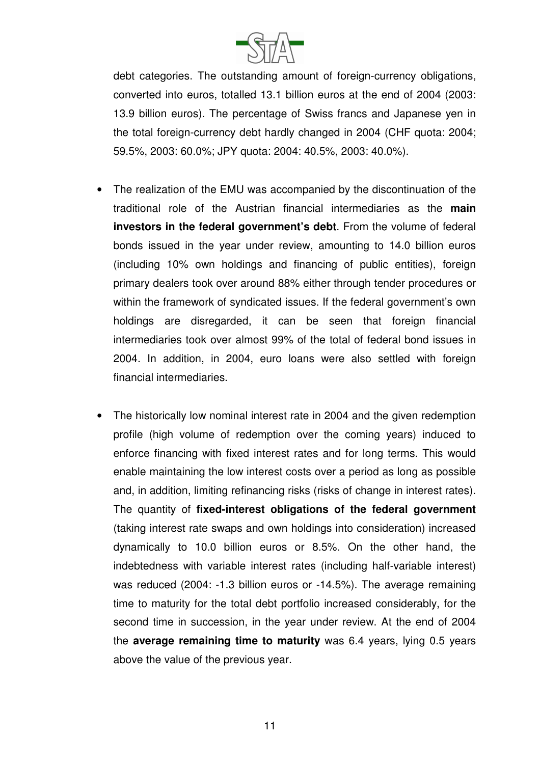

debt categories. The outstanding amount of foreign-currency obligations, converted into euros, totalled 13.1 billion euros at the end of 2004 (2003: 13.9 billion euros). The percentage of Swiss francs and Japanese yen in the total foreign-currency debt hardly changed in 2004 (CHF quota: 2004; 59.5%, 2003: 60.0%; JPY quota: 2004: 40.5%, 2003: 40.0%).

- The realization of the EMU was accompanied by the discontinuation of the traditional role of the Austrian financial intermediaries as the **main investors in the federal government's debt**. From the volume of federal bonds issued in the year under review, amounting to 14.0 billion euros (including 10% own holdings and financing of public entities), foreign primary dealers took over around 88% either through tender procedures or within the framework of syndicated issues. If the federal government's own holdings are disregarded, it can be seen that foreign financial intermediaries took over almost 99% of the total of federal bond issues in 2004. In addition, in 2004, euro loans were also settled with foreign financial intermediaries.
- The historically low nominal interest rate in 2004 and the given redemption profile (high volume of redemption over the coming years) induced to enforce financing with fixed interest rates and for long terms. This would enable maintaining the low interest costs over a period as long as possible and, in addition, limiting refinancing risks (risks of change in interest rates). The quantity of **fixed-interest obligations of the federal government** (taking interest rate swaps and own holdings into consideration) increased dynamically to 10.0 billion euros or 8.5%. On the other hand, the indebtedness with variable interest rates (including half-variable interest) was reduced (2004: -1.3 billion euros or -14.5%). The average remaining time to maturity for the total debt portfolio increased considerably, for the second time in succession, in the year under review. At the end of 2004 the **average remaining time to maturity** was 6.4 years, lying 0.5 years above the value of the previous year.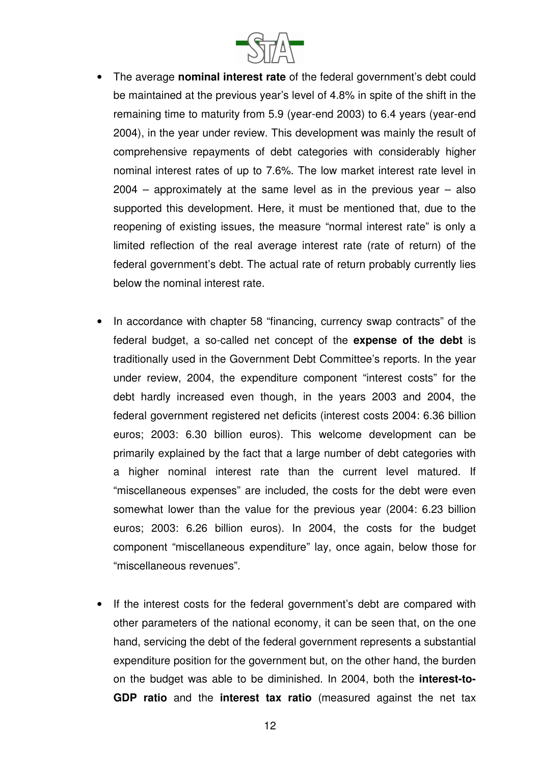

- The average **nominal interest rate** of the federal government's debt could be maintained at the previous year's level of 4.8% in spite of the shift in the remaining time to maturity from 5.9 (year-end 2003) to 6.4 years (year-end 2004), in the year under review. This development was mainly the result of comprehensive repayments of debt categories with considerably higher nominal interest rates of up to 7.6%. The low market interest rate level in 2004 – approximately at the same level as in the previous year – also supported this development. Here, it must be mentioned that, due to the reopening of existing issues, the measure "normal interest rate" is only a limited reflection of the real average interest rate (rate of return) of the federal government's debt. The actual rate of return probably currently lies below the nominal interest rate.
- In accordance with chapter 58 "financing, currency swap contracts" of the federal budget, a so-called net concept of the **expense of the debt** is traditionally used in the Government Debt Committee's reports. In the year under review, 2004, the expenditure component "interest costs" for the debt hardly increased even though, in the years 2003 and 2004, the federal government registered net deficits (interest costs 2004: 6.36 billion euros; 2003: 6.30 billion euros). This welcome development can be primarily explained by the fact that a large number of debt categories with a higher nominal interest rate than the current level matured. If "miscellaneous expenses" are included, the costs for the debt were even somewhat lower than the value for the previous year (2004: 6.23 billion euros; 2003: 6.26 billion euros). In 2004, the costs for the budget component "miscellaneous expenditure" lay, once again, below those for "miscellaneous revenues".
- If the interest costs for the federal government's debt are compared with other parameters of the national economy, it can be seen that, on the one hand, servicing the debt of the federal government represents a substantial expenditure position for the government but, on the other hand, the burden on the budget was able to be diminished. In 2004, both the **interest-to-GDP ratio** and the **interest tax ratio** (measured against the net tax